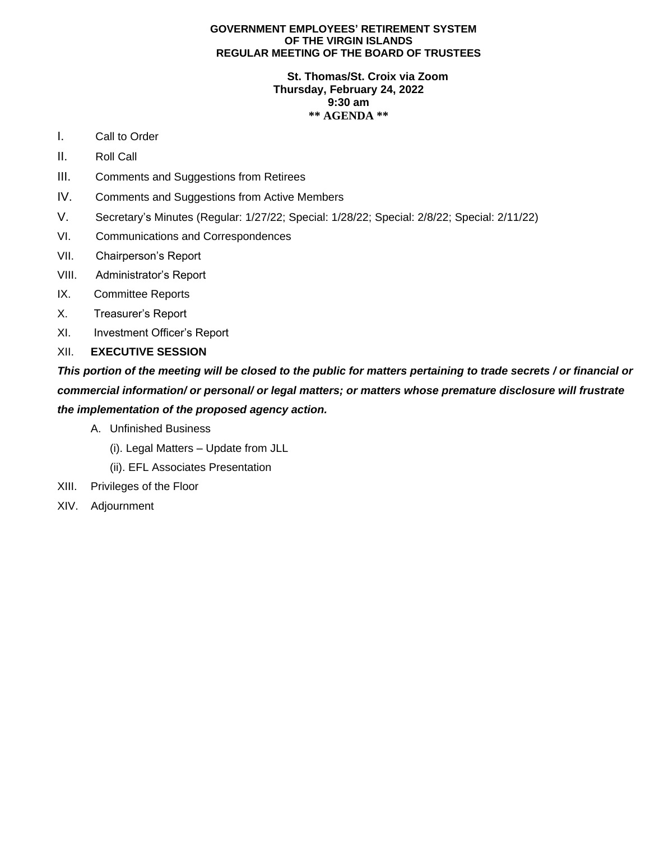#### **GOVERNMENT EMPLOYEES' RETIREMENT SYSTEM OF THE VIRGIN ISLANDS REGULAR MEETING OF THE BOARD OF TRUSTEES**

### **St. Thomas/St. Croix via Zoom Thursday, February 24, 2022 9:30 am \*\* AGENDA \*\***

- I. Call to Order
- II. Roll Call
- III. Comments and Suggestions from Retirees
- IV. Comments and Suggestions from Active Members
- V. Secretary's Minutes (Regular: 1/27/22; Special: 1/28/22; Special: 2/8/22; Special: 2/11/22)
- VI. Communications and Correspondences
- VII. Chairperson's Report
- VIII. Administrator's Report
- IX. Committee Reports
- X. Treasurer's Report
- XI. Investment Officer's Report

## XII. **EXECUTIVE SESSION**

*This portion of the meeting will be closed to the public for matters pertaining to trade secrets / or financial or commercial information/ or personal/ or legal matters; or matters whose premature disclosure will frustrate the implementation of the proposed agency action.* 

- A. Unfinished Business
	- (i). Legal Matters Update from JLL
	- (ii). EFL Associates Presentation
- XIII. Privileges of the Floor
- XIV. Adjournment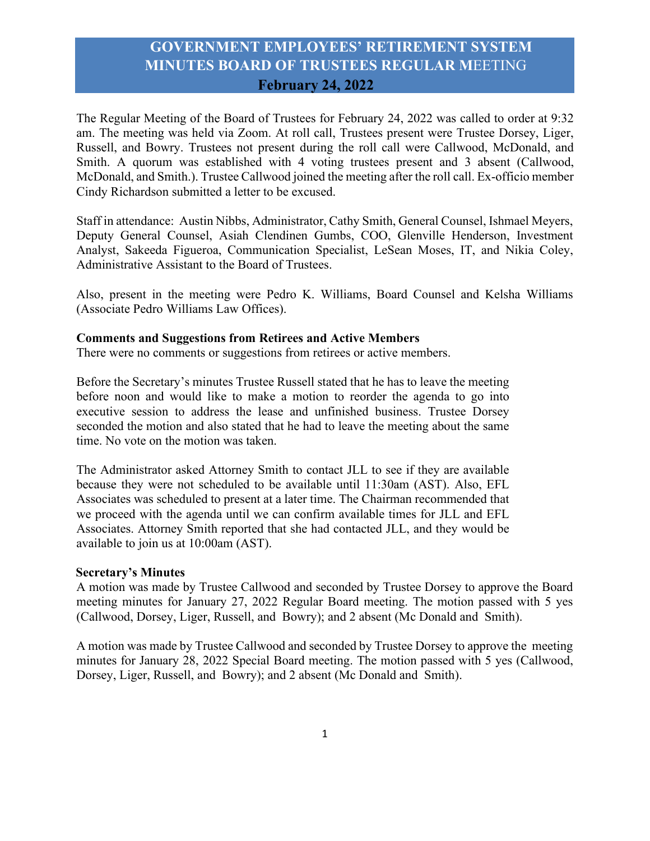The Regular Meeting of the Board of Trustees for February 24, 2022 was called to order at 9:32 am. The meeting was held via Zoom. At roll call, Trustees present were Trustee Dorsey, Liger, Russell, and Bowry. Trustees not present during the roll call were Callwood, McDonald, and Smith. A quorum was established with 4 voting trustees present and 3 absent (Callwood, McDonald, and Smith.). Trustee Callwood joined the meeting after the roll call. Ex-officio member Cindy Richardson submitted a letter to be excused.

Staff in attendance: Austin Nibbs, Administrator, Cathy Smith, General Counsel, Ishmael Meyers, Deputy General Counsel, Asiah Clendinen Gumbs, COO, Glenville Henderson, Investment Analyst, Sakeeda Figueroa, Communication Specialist, LeSean Moses, IT, and Nikia Coley, Administrative Assistant to the Board of Trustees.

Also, present in the meeting were Pedro K. Williams, Board Counsel and Kelsha Williams (Associate Pedro Williams Law Offices).

### **Comments and Suggestions from Retirees and Active Members**

There were no comments or suggestions from retirees or active members.

Before the Secretary's minutes Trustee Russell stated that he has to leave the meeting before noon and would like to make a motion to reorder the agenda to go into executive session to address the lease and unfinished business. Trustee Dorsey seconded the motion and also stated that he had to leave the meeting about the same time. No vote on the motion was taken.

The Administrator asked Attorney Smith to contact JLL to see if they are available because they were not scheduled to be available until 11:30am (AST). Also, EFL Associates was scheduled to present at a later time. The Chairman recommended that we proceed with the agenda until we can confirm available times for JLL and EFL Associates. Attorney Smith reported that she had contacted JLL, and they would be available to join us at 10:00am (AST).

#### **Secretary's Minutes**

A motion was made by Trustee Callwood and seconded by Trustee Dorsey to approve the Board meeting minutes for January 27, 2022 Regular Board meeting. The motion passed with 5 yes (Callwood, Dorsey, Liger, Russell, and Bowry); and 2 absent (Mc Donald and Smith).

A motion was made by Trustee Callwood and seconded by Trustee Dorsey to approve the meeting minutes for January 28, 2022 Special Board meeting. The motion passed with 5 yes (Callwood, Dorsey, Liger, Russell, and Bowry); and 2 absent (Mc Donald and Smith).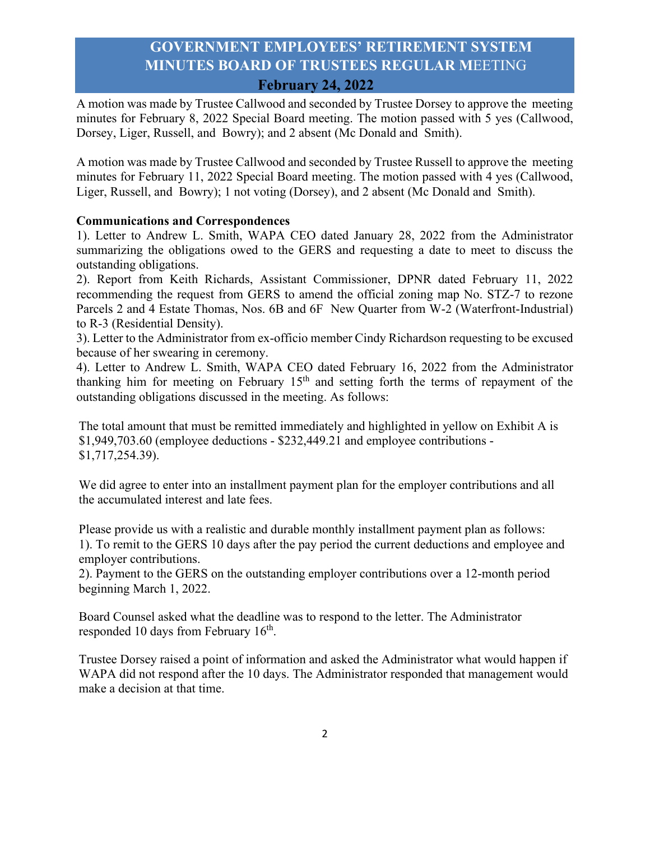A motion was made by Trustee Callwood and seconded by Trustee Dorsey to approve the meeting minutes for February 8, 2022 Special Board meeting. The motion passed with 5 yes (Callwood, Dorsey, Liger, Russell, and Bowry); and 2 absent (Mc Donald and Smith).

A motion was made by Trustee Callwood and seconded by Trustee Russell to approve the meeting minutes for February 11, 2022 Special Board meeting. The motion passed with 4 yes (Callwood, Liger, Russell, and Bowry); 1 not voting (Dorsey), and 2 absent (Mc Donald and Smith).

## **Communications and Correspondences**

1). Letter to Andrew L. Smith, WAPA CEO dated January 28, 2022 from the Administrator summarizing the obligations owed to the GERS and requesting a date to meet to discuss the outstanding obligations.

2). Report from Keith Richards, Assistant Commissioner, DPNR dated February 11, 2022 recommending the request from GERS to amend the official zoning map No. STZ-7 to rezone Parcels 2 and 4 Estate Thomas, Nos. 6B and 6F New Quarter from W-2 (Waterfront-Industrial) to R-3 (Residential Density).

3). Letter to the Administrator from ex-officio member Cindy Richardson requesting to be excused because of her swearing in ceremony.

4). Letter to Andrew L. Smith, WAPA CEO dated February 16, 2022 from the Administrator thanking him for meeting on February  $15<sup>th</sup>$  and setting forth the terms of repayment of the outstanding obligations discussed in the meeting. As follows:

The total amount that must be remitted immediately and highlighted in yellow on Exhibit A is \$1,949,703.60 (employee deductions - \$232,449.21 and employee contributions - \$1,717,254.39).

We did agree to enter into an installment payment plan for the employer contributions and all the accumulated interest and late fees.

Please provide us with a realistic and durable monthly installment payment plan as follows: 1). To remit to the GERS 10 days after the pay period the current deductions and employee and employer contributions.

2). Payment to the GERS on the outstanding employer contributions over a 12-month period beginning March 1, 2022.

Board Counsel asked what the deadline was to respond to the letter. The Administrator responded 10 days from February  $16<sup>th</sup>$ .

Trustee Dorsey raised a point of information and asked the Administrator what would happen if WAPA did not respond after the 10 days. The Administrator responded that management would make a decision at that time.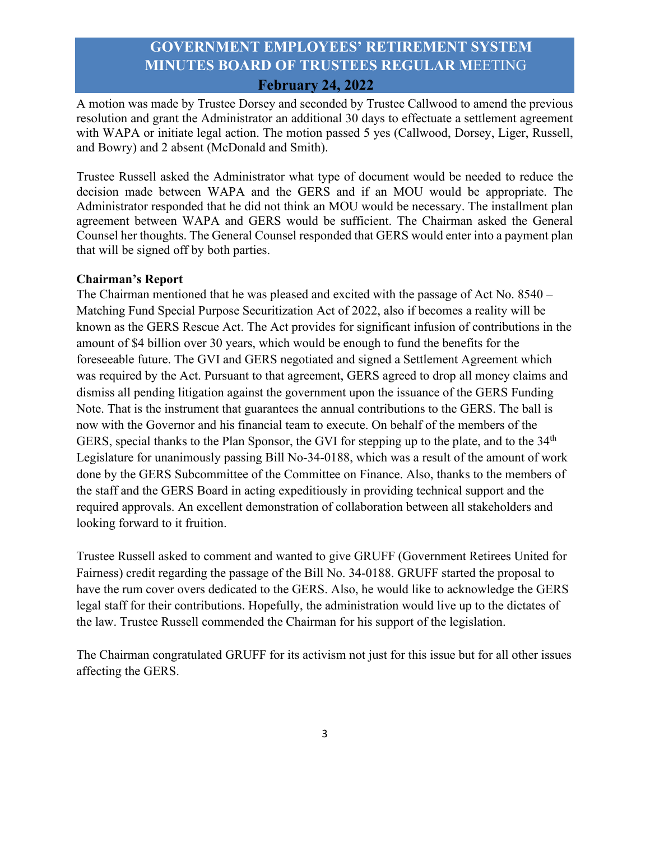A motion was made by Trustee Dorsey and seconded by Trustee Callwood to amend the previous resolution and grant the Administrator an additional 30 days to effectuate a settlement agreement with WAPA or initiate legal action. The motion passed 5 yes (Callwood, Dorsey, Liger, Russell, and Bowry) and 2 absent (McDonald and Smith).

Trustee Russell asked the Administrator what type of document would be needed to reduce the decision made between WAPA and the GERS and if an MOU would be appropriate. The Administrator responded that he did not think an MOU would be necessary. The installment plan agreement between WAPA and GERS would be sufficient. The Chairman asked the General Counsel her thoughts. The General Counsel responded that GERS would enter into a payment plan that will be signed off by both parties.

## **Chairman's Report**

The Chairman mentioned that he was pleased and excited with the passage of Act No. 8540 – Matching Fund Special Purpose Securitization Act of 2022, also if becomes a reality will be known as the GERS Rescue Act. The Act provides for significant infusion of contributions in the amount of \$4 billion over 30 years, which would be enough to fund the benefits for the foreseeable future. The GVI and GERS negotiated and signed a Settlement Agreement which was required by the Act. Pursuant to that agreement, GERS agreed to drop all money claims and dismiss all pending litigation against the government upon the issuance of the GERS Funding Note. That is the instrument that guarantees the annual contributions to the GERS. The ball is now with the Governor and his financial team to execute. On behalf of the members of the GERS, special thanks to the Plan Sponsor, the GVI for stepping up to the plate, and to the 34<sup>th</sup> Legislature for unanimously passing Bill No-34-0188, which was a result of the amount of work done by the GERS Subcommittee of the Committee on Finance. Also, thanks to the members of the staff and the GERS Board in acting expeditiously in providing technical support and the required approvals. An excellent demonstration of collaboration between all stakeholders and looking forward to it fruition.

Trustee Russell asked to comment and wanted to give GRUFF (Government Retirees United for Fairness) credit regarding the passage of the Bill No. 34-0188. GRUFF started the proposal to have the rum cover overs dedicated to the GERS. Also, he would like to acknowledge the GERS legal staff for their contributions. Hopefully, the administration would live up to the dictates of the law. Trustee Russell commended the Chairman for his support of the legislation.

The Chairman congratulated GRUFF for its activism not just for this issue but for all other issues affecting the GERS.